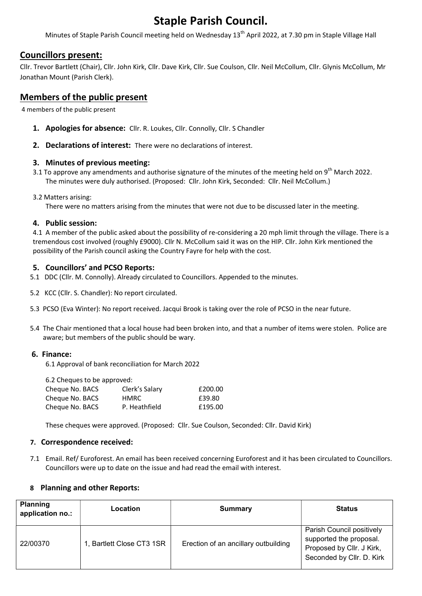# Staple Parish Council.

Minutes of Staple Parish Council meeting held on Wednesday 13<sup>th</sup> April 2022, at 7.30 pm in Staple Village Hall

## Councillors present:

Cllr. Trevor Bartlett (Chair), Cllr. John Kirk, Cllr. Dave Kirk, Cllr. Sue Coulson, Cllr. Neil McCollum, Cllr. Glynis McCollum, Mr Jonathan Mount (Parish Clerk).

## Members of the public present

4 members of the public present

- 1. Apologies for absence: Cllr. R. Loukes, Cllr. Connolly, Cllr. S Chandler
- 2. Declarations of interest: There were no declarations of interest.

#### 3. Minutes of previous meeting:

- 3.1 To approve any amendments and authorise signature of the minutes of the meeting held on 9<sup>th</sup> March 2022. The minutes were duly authorised. (Proposed: Cllr. John Kirk, Seconded: Cllr. Neil McCollum.)
- 3.2 Matters arising:

There were no matters arising from the minutes that were not due to be discussed later in the meeting.

#### 4. Public session:

4.1 A member of the public asked about the possibility of re-considering a 20 mph limit through the village. There is a tremendous cost involved (roughly £9000). Cllr N. McCollum said it was on the HIP. Cllr. John Kirk mentioned the possibility of the Parish council asking the Country Fayre for help with the cost.

### 5. Councillors' and PCSO Reports:

- 5.1 DDC (Cllr. M. Connolly). Already circulated to Councillors. Appended to the minutes.
- 5.2 KCC (Cllr. S. Chandler): No report circulated.
- 5.3 PCSO (Eva Winter): No report received. Jacqui Brook is taking over the role of PCSO in the near future.
- 5.4 The Chair mentioned that a local house had been broken into, and that a number of items were stolen. Police are aware; but members of the public should be wary.

#### 6. Finance:

6.1 Approval of bank reconciliation for March 2022

6.2 Cheques to be approved:

| Cheque No. BACS | Clerk's Salary | £200.00 |
|-----------------|----------------|---------|
| Cheque No. BACS | <b>HMRC</b>    | £39.80  |
| Cheque No. BACS | P. Heathfield  | £195.00 |
|                 |                |         |

These cheques were approved. (Proposed: Cllr. Sue Coulson, Seconded: Cllr. David Kirk)

#### 7. Correspondence received:

7.1 Email. Ref/ Euroforest. An email has been received concerning Euroforest and it has been circulated to Councillors. Councillors were up to date on the issue and had read the email with interest.

#### 8 Planning and other Reports:

| <b>Planning</b><br>application no.: | Location                  | Summary                              | <b>Status</b>                                                                                                  |
|-------------------------------------|---------------------------|--------------------------------------|----------------------------------------------------------------------------------------------------------------|
| 22/00370                            | 1, Bartlett Close CT3 1SR | Erection of an ancillary outbuilding | Parish Council positively<br>supported the proposal.<br>Proposed by Cllr. J Kirk,<br>Seconded by Cllr. D. Kirk |